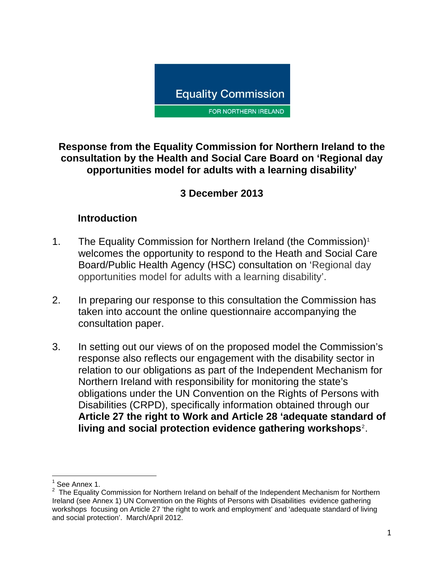

**Response from the Equality Commission for Northern Ireland to the consultation by the Health and Social Care Board on 'Regional day opportunities model for adults with a learning disability'** 

## **3 December 2013**

### **Introduction**

- [1](#page-0-0). The Equality Commission for Northern Ireland (the Commission)<sup>1</sup> welcomes the opportunity to respond to the Heath and Social Care Board/Public Health Agency (HSC) consultation on 'Regional day opportunities model for adults with a learning disability'.
- 2. In preparing our response to this consultation the Commission has taken into account the online questionnaire accompanying the consultation paper.
- 3. In setting out our views of on the proposed model the Commission's response also reflects our engagement with the disability sector in relation to our obligations as part of the Independent Mechanism for Northern Ireland with responsibility for monitoring the state's obligations under the UN Convention on the Rights of Persons with Disabilities (CRPD), specifically information obtained through our **Article 27 the right to Work and Article 28 'adequate standard of living and social protection evidence gathering workshops**[2](#page-0-1) .

<u> 1980 - Andrea Albert III, martin a bh</u>

<sup>1</sup> See Annex 1.

<span id="page-0-1"></span><span id="page-0-0"></span> $2$  The Equality Commission for Northern Ireland on behalf of the Independent Mechanism for Northern Ireland (see Annex 1) UN Convention on the Rights of Persons with Disabilities evidence gathering workshops focusing on Article 27 'the right to work and employment' and 'adequate standard of living and social protection'. March/April 2012.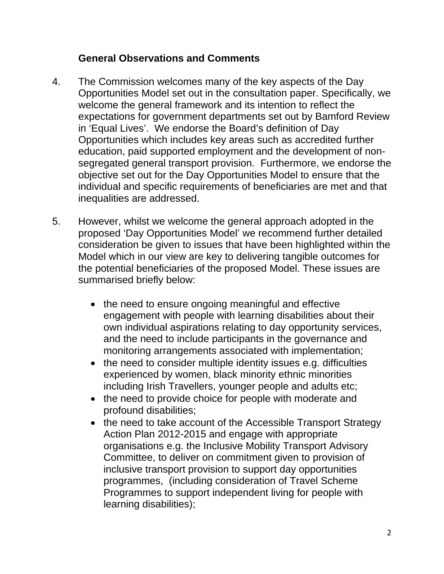### **General Observations and Comments**

- 4. The Commission welcomes many of the key aspects of the Day Opportunities Model set out in the consultation paper. Specifically, we welcome the general framework and its intention to reflect the expectations for government departments set out by Bamford Review in 'Equal Lives'. We endorse the Board's definition of Day Opportunities which includes key areas such as accredited further education, paid supported employment and the development of nonsegregated general transport provision. Furthermore, we endorse the objective set out for the Day Opportunities Model to ensure that the individual and specific requirements of beneficiaries are met and that inequalities are addressed.
- 5. However, whilst we welcome the general approach adopted in the proposed 'Day Opportunities Model' we recommend further detailed consideration be given to issues that have been highlighted within the Model which in our view are key to delivering tangible outcomes for the potential beneficiaries of the proposed Model. These issues are summarised briefly below:
	- the need to ensure ongoing meaningful and effective engagement with people with learning disabilities about their own individual aspirations relating to day opportunity services, and the need to include participants in the governance and monitoring arrangements associated with implementation;
	- the need to consider multiple identity issues e.g. difficulties experienced by women, black minority ethnic minorities including Irish Travellers, younger people and adults etc;
	- the need to provide choice for people with moderate and profound disabilities;
	- the need to take account of the Accessible Transport Strategy Action Plan 2012-2015 and engage with appropriate organisations e.g. the Inclusive Mobility Transport Advisory Committee, to deliver on commitment given to provision of inclusive transport provision to support day opportunities programmes, (including consideration of Travel Scheme Programmes to support independent living for people with learning disabilities);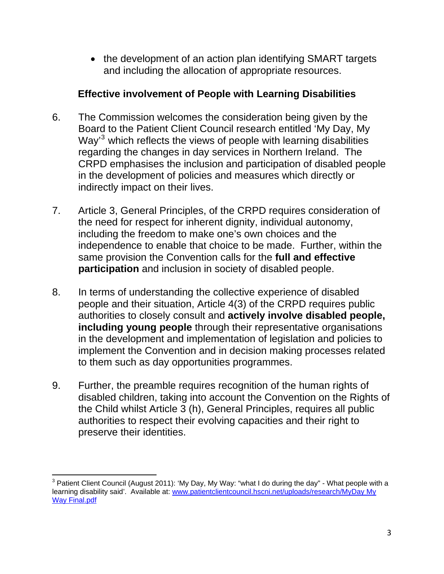• the development of an action plan identifying SMART targets and including the allocation of appropriate resources.

### **Effective involvement of People with Learning Disabilities**

- 6. The Commission welcomes the consideration being given by the Board to the Patient Client Council research entitled 'My Day, My Way<sup>[3](#page-2-0)</sup> which reflects the views of people with learning disabilities regarding the changes in day services in Northern Ireland. The CRPD emphasises the inclusion and participation of disabled people in the development of policies and measures which directly or indirectly impact on their lives.
- 7. Article 3, General Principles, of the CRPD requires consideration of the need for respect for inherent dignity, individual autonomy, including the freedom to make one's own choices and the independence to enable that choice to be made. Further, within the same provision the Convention calls for the **full and effective participation** and inclusion in society of disabled people.
- 8. In terms of understanding the collective experience of disabled people and their situation, Article 4(3) of the CRPD requires public authorities to closely consult and **actively involve disabled people, including young people** through their representative organisations in the development and implementation of legislation and policies to implement the Convention and in decision making processes related to them such as day opportunities programmes.
- 9. Further, the preamble requires recognition of the human rights of disabled children, taking into account the Convention on the Rights of the Child whilst Article 3 (h), General Principles, requires all public authorities to respect their evolving capacities and their right to preserve their identities.

<span id="page-2-0"></span><sup>&</sup>lt;u> 1989 - Andrea Albert III, martin a bh</u> <sup>3</sup> Patient Client Council (August 2011): 'My Day, My Way: "what I do during the day" - What people with a learning disability said'. Available at: [www.patientclientcouncil.hscni.net/uploads/research/MyDay My](http://www.patientclientcouncil.hscni.net/uploads/research/MyDay%20My%20Way%20Final.pdf)  [Way Final.pdf](http://www.patientclientcouncil.hscni.net/uploads/research/MyDay%20My%20Way%20Final.pdf)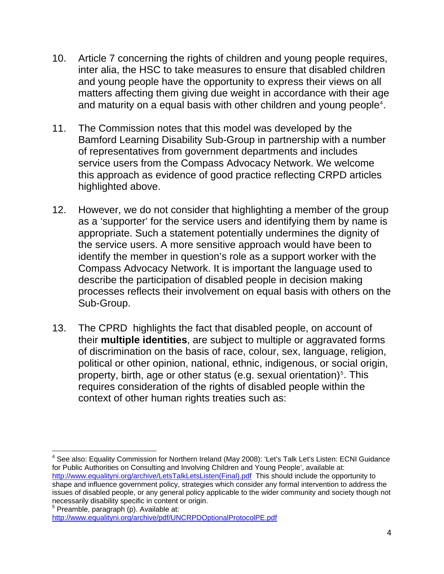- 10. Article 7 concerning the rights of children and young people requires, inter alia, the HSC to take measures to ensure that disabled children and young people have the opportunity to express their views on all matters affecting them giving due weight in accordance with their age and maturity on a equal basis with other children and young people<sup>[4](#page-3-0)</sup>.
- 11. The Commission notes that this model was developed by the Bamford Learning Disability Sub-Group in partnership with a number of representatives from government departments and includes service users from the Compass Advocacy Network. We welcome this approach as evidence of good practice reflecting CRPD articles highlighted above.
- 12. However, we do not consider that highlighting a member of the group as a 'supporter' for the service users and identifying them by name is appropriate. Such a statement potentially undermines the dignity of the service users. A more sensitive approach would have been to identify the member in question's role as a support worker with the Compass Advocacy Network. It is important the language used to describe the participation of disabled people in decision making processes reflects their involvement on equal basis with others on the Sub-Group.
- 13. The CPRD highlights the fact that disabled people, on account of their **multiple identities**, are subject to multiple or aggravated forms of discrimination on the basis of race, colour, sex, language, religion, political or other opinion, national, ethnic, indigenous, or social origin, property, birth, age or other status (e.g. sexual orientation)<sup>[5](#page-3-1)</sup>. This requires consideration of the rights of disabled people within the context of other human rights treaties such as:

<span id="page-3-0"></span><sup>&</sup>lt;u> 1989 - Andrea Albert III, martin a bh</u> <sup>4</sup> See also: Equality Commission for Northern Ireland (May 2008): 'Let's Talk Let's Listen: ECNI Guidance for Public Authorities on Consulting and Involving Children and Young People', available at: [http://www.equalityni.org/archive/LetsTalkLetsListen\(Final\).pdf](http://www.equalityni.org/archive/LetsTalkLetsListen(Final).pdf) This should include the opportunity to shape and influence government policy, strategies which consider any formal intervention to address the issues of disabled people, or any general policy applicable to the wider community and society though not necessarily disability specific in content or origin.

<span id="page-3-1"></span><sup>5</sup> Preamble, paragraph (p). Available at: <http://www.equalityni.org/archive/pdf/UNCRPDOptionalProtocolPE.pdf>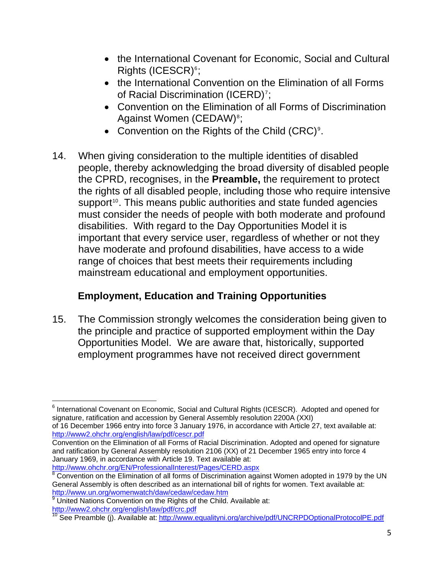- the International Covenant for Economic, Social and Cultural  $Rights$  (ICESCR) $s$ ;
- the International Convention on the Elimination of all Forms of Racial Discrimination (ICERD)<sup>[7](#page-4-1)</sup>;
- Convention on the Elimination of all Forms of Discrimination Against Women (CEDAW)<sup>[8](#page-4-2)</sup>;
- Convention on the Rights of the Child (CRC)<sup>[9](#page-4-3)</sup>.
- 14. When giving consideration to the multiple identities of disabled people, thereby acknowledging the broad diversity of disabled people the CPRD, recognises, in the **Preamble,** the requirement to protect the rights of all disabled people, including those who require intensive support<sup>[10](#page-4-4)</sup>. This means public authorities and state funded agencies must consider the needs of people with both moderate and profound disabilities. With regard to the Day Opportunities Model it is important that every service user, regardless of whether or not they have moderate and profound disabilities, have access to a wide range of choices that best meets their requirements including mainstream educational and employment opportunities.

# **Employment, Education and Training Opportunities**

15. The Commission strongly welcomes the consideration being given to the principle and practice of supported employment within the Day Opportunities Model. We are aware that, historically, supported employment programmes have not received direct government

<span id="page-4-0"></span><sup>&</sup>lt;u> 1980 - An Dùbhlachd ann an Dùbhlachd ann an Dùbhlachd ann an Dùbhlachd ann an Dùbhlachd ann an Dùbhlachd ann a</u> <sup>6</sup> International Covenant on Economic, Social and Cultural Rights (ICESCR). Adopted and opened for signature, ratification and accession by General Assembly resolution 2200A (XXI)

of 16 December 1966 entry into force 3 January 1976, in accordance with Article 27, text available at: <http://www2.ohchr.org/english/law/pdf/cescr.pdf>

<span id="page-4-1"></span>Convention on the Elimination of all Forms of Racial Discrimination. Adopted and opened for signature and ratification by General Assembly resolution 2106 (XX) of 21 December 1965 entry into force 4 January 1969, in accordance with Article 19. Text available at: <http://www.ohchr.org/EN/ProfessionalInterest/Pages/CERD.aspx>

<span id="page-4-2"></span><sup>&</sup>lt;sup>8</sup> Convention on the Elimination of all forms of Discrimination against Women adopted in 1979 by the UN General Assembly is often described as an international bill of rights for women. Text available at: <http://www.un.org/womenwatch/daw/cedaw/cedaw.htm>

<sup>&</sup>lt;sup>9</sup> United Nations Convention on the Rights of the Child. Available at:

<span id="page-4-4"></span><span id="page-4-3"></span><http://www2.ohchr.org/english/law/pdf/crc.pdf><br><sup>10</sup> See Preamble (j). Available at: http://www.equalityni.org/archive/pdf/UNCRPDOptionalProtocolPE.pdf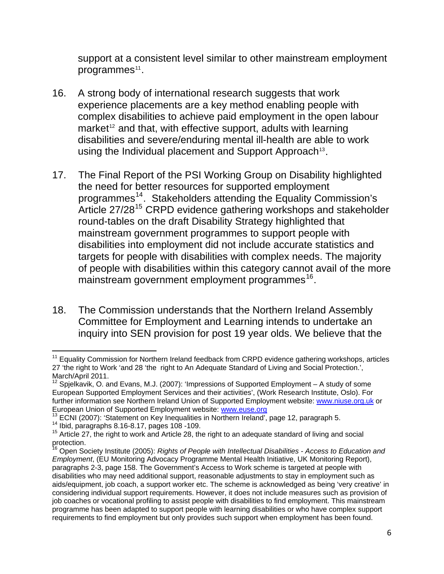support at a consistent level similar to other mainstream employment programmes $11$ .

- 16. A strong body of international research suggests that work experience placements are a key method enabling people with complex disabilities to achieve paid employment in the open labour market<sup>[12](#page-5-0)</sup> and that, with effective support, adults with learning disabilities and severe/enduring mental ill-health are able to work using the Individual placement and Support Approach<sup>[13](#page-5-1)</sup>.
- 17. The Final Report of the PSI Working Group on Disability highlighted the need for better resources for supported employment programmes<sup>[14](#page-5-2)</sup>. Stakeholders attending the Equality Commission's Article 27/28<sup>[15](#page-5-3)</sup> CRPD evidence gathering workshops and stakeholder round-tables on the draft Disability Strategy highlighted that mainstream government programmes to support people with disabilities into employment did not include accurate statistics and targets for people with disabilities with complex needs. The majority of people with disabilities within this category cannot avail of the more mainstream government employment programmes<sup>[16](#page-5-4)</sup>.
- 18. The Commission understands that the Northern Ireland Assembly Committee for Employment and Learning intends to undertake an inquiry into SEN provision for post 19 year olds. We believe that the

  $11$  Equality Commission for Northern Ireland feedback from CRPD evidence gathering workshops, articles 27 'the right to Work 'and 28 'the right to An Adequate Standard of Living and Social Protection.', March/April 2011.

<span id="page-5-0"></span><sup>&</sup>lt;sup>12</sup> Spjelkavik, O. and Evans, M.J. (2007): 'Impressions of Supported Employment – A study of some European Supported Employment Services and their activities', (Work Research Institute, Oslo). For further information see Northern Ireland Union of Supported Employment website: [www.niuse.org.uk](http://www.niuse.org.uk/) or European Union of Supported Employment website: [www.euse.org](http://www.euse.org/)<br><sup>13</sup> ECNI (2007): 'Statement on Key Inequalities in No[rthern Ireland',](http://www.euse.org/) page 12, paragraph 5.<br><sup>14</sup> Ibid, paragraphs 8.16-8.17, pages 108 -109.<br><sup>15</sup> Article 27, th

<span id="page-5-1"></span>

<span id="page-5-2"></span>

<span id="page-5-3"></span>protection.

<span id="page-5-4"></span><sup>16</sup> Open Society Institute (2005): *Rights of People with Intellectual Disabilities - Access to Education and Employment*, (EU Monitoring Advocacy Programme Mental Health Initiative, UK Monitoring Report), paragraphs 2-3, page 158. The Government's Access to Work scheme is targeted at people with disabilities who may need additional support, reasonable adjustments to stay in employment such as aids/equipment, job coach, a support worker etc. The scheme is acknowledged as being 'very creative' in considering individual support requirements. However, it does not include measures such as provision of job coaches or vocational profiling to assist people with disabilities to find employment. This mainstream programme has been adapted to support people with learning disabilities or who have complex support requirements to find employment but only provides such support when employment has been found.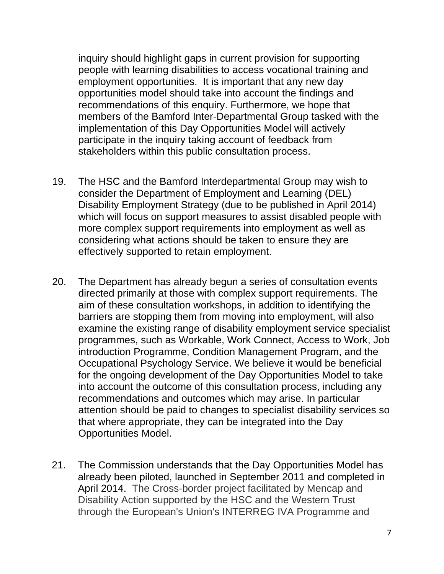inquiry should highlight gaps in current provision for supporting people with learning disabilities to access vocational training and employment opportunities. It is important that any new day opportunities model should take into account the findings and recommendations of this enquiry. Furthermore, we hope that members of the Bamford Inter-Departmental Group tasked with the implementation of this Day Opportunities Model will actively participate in the inquiry taking account of feedback from stakeholders within this public consultation process.

- 19. The HSC and the Bamford Interdepartmental Group may wish to consider the Department of Employment and Learning (DEL) Disability Employment Strategy (due to be published in April 2014) which will focus on support measures to assist disabled people with more complex support requirements into employment as well as considering what actions should be taken to ensure they are effectively supported to retain employment.
- 20. The Department has already begun a series of consultation events directed primarily at those with complex support requirements. The aim of these consultation workshops, in addition to identifying the barriers are stopping them from moving into employment, will also examine the existing range of disability employment service specialist programmes, such as Workable, Work Connect, Access to Work, Job introduction Programme, Condition Management Program, and the Occupational Psychology Service. We believe it would be beneficial for the ongoing development of the Day Opportunities Model to take into account the outcome of this consultation process, including any recommendations and outcomes which may arise. In particular attention should be paid to changes to specialist disability services so that where appropriate, they can be integrated into the Day Opportunities Model.
- 21. The Commission understands that the Day Opportunities Model has already been piloted, launched in September 2011 and completed in April 2014. The Cross-border project facilitated by Mencap and Disability Action supported by the HSC and the Western Trust through the European's Union's INTERREG IVA Programme and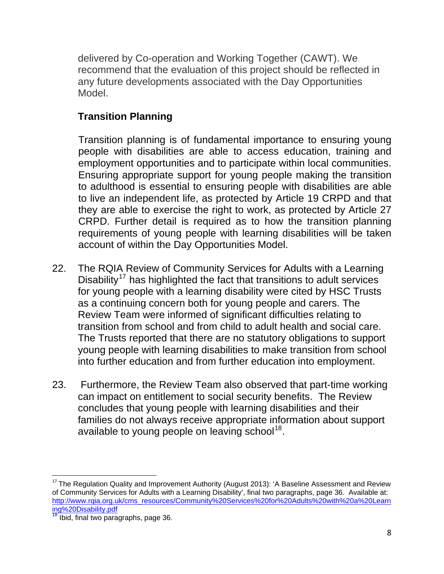delivered by Co-operation and Working Together (CAWT). We recommend that the evaluation of this project should be reflected in any future developments associated with the Day Opportunities Model.

# **Transition Planning**

Transition planning is of fundamental importance to ensuring young people with disabilities are able to access education, training and employment opportunities and to participate within local communities. Ensuring appropriate support for young people making the transition to adulthood is essential to ensuring people with disabilities are able to live an independent life, as protected by Article 19 CRPD and that they are able to exercise the right to work, as protected by Article 27 CRPD. Further detail is required as to how the transition planning requirements of young people with learning disabilities will be taken account of within the Day Opportunities Model.

- 22. The RQIA Review of Community Services for Adults with a Learning Disability<sup>[17](#page-7-0)</sup> has highlighted the fact that transitions to adult services for young people with a learning disability were cited by HSC Trusts as a continuing concern both for young people and carers. The Review Team were informed of significant difficulties relating to transition from school and from child to adult health and social care. The Trusts reported that there are no statutory obligations to support young people with learning disabilities to make transition from school into further education and from further education into employment.
- 23. Furthermore, the Review Team also observed that part-time working can impact on entitlement to social security benefits. The Review concludes that young people with learning disabilities and their families do not always receive appropriate information about support available to young people on leaving school<sup>[18](#page-7-1)</sup>.

<span id="page-7-0"></span>  $17$  The Regulation Quality and Improvement Authority (August 2013): 'A Baseline Assessment and Review of Community Services for Adults with a Learning Disability', final two paragraphs, page 36. Available at: [http://www.rqia.org.uk/cms\\_resources/Community%20Services%20for%20Adults%20with%20a%20Learn](http://www.rqia.org.uk/cms_resources/Community%20Services%20for%20Adults%20with%20a%20Learning%20Disability.pdf) [ing%20Disability.pdf](http://www.rqia.org.uk/cms_resources/Community%20Services%20for%20Adults%20with%20a%20Learning%20Disability.pdf)

<span id="page-7-1"></span> $18$  Ibid, final two paragraphs, page 36.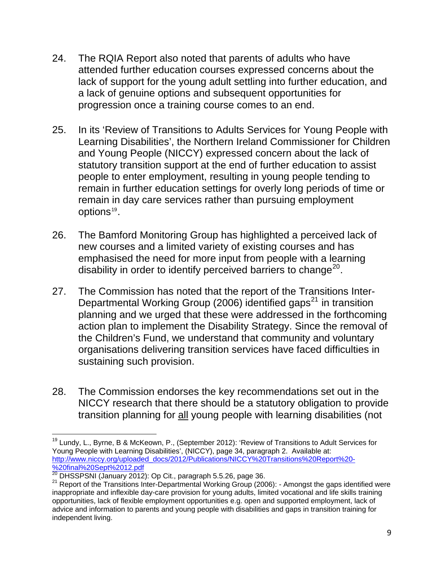- 24. The RQIA Report also noted that parents of adults who have attended further education courses expressed concerns about the lack of support for the young adult settling into further education, and a lack of genuine options and subsequent opportunities for progression once a training course comes to an end.
- 25. In its 'Review of Transitions to Adults Services for Young People with Learning Disabilities', the Northern Ireland Commissioner for Children and Young People (NICCY) expressed concern about the lack of statutory transition support at the end of further education to assist people to enter employment, resulting in young people tending to remain in further education settings for overly long periods of time or remain in day care services rather than pursuing employment options<sup>[19](#page-8-0)</sup>.
- 26. The Bamford Monitoring Group has highlighted a perceived lack of new courses and a limited variety of existing courses and has emphasised the need for more input from people with a learning disability in order to identify perceived barriers to change<sup>[20](#page-8-1)</sup>.
- 27. The Commission has noted that the report of the Transitions Inter-Departmental Working Group (2006) identified gaps<sup>[21](#page-8-2)</sup> in transition planning and we urged that these were addressed in the forthcoming action plan to implement the Disability Strategy. Since the removal of the Children's Fund, we understand that community and voluntary organisations delivering transition services have faced difficulties in sustaining such provision.
- 28. The Commission endorses the key recommendations set out in the NICCY research that there should be a statutory obligation to provide transition planning for all young people with learning disabilities (not

<span id="page-8-0"></span> <sup>19</sup> Lundy, L., Byrne, B & McKeown, P., (September 2012): 'Review of Transitions to Adult Services for Young People with Learning Disabilities', (NICCY), page 34, paragraph 2. Available at: [http://www.niccy.org/uploaded\\_docs/2012/Publications/NICCY%20Transitions%20Report%20-](http://www.niccy.org/uploaded_docs/2012/Publications/NICCY%20Transitions%20Report%20-%20final%20Sept%2012.pdf)

<span id="page-8-1"></span>[<sup>%20</sup>final%20Sept%2012.pdf](http://www.niccy.org/uploaded_docs/2012/Publications/NICCY%20Transitions%20Report%20-%20final%20Sept%2012.pdf)<br><sup>20</sup> DHSSPSNI (January 2012): Op Cit., paragraph 5.5.26, page 36.

<span id="page-8-2"></span><sup>&</sup>lt;sup>21</sup> Report of the Transitions Inter-Departmental Working Group (2006): - Amongst the gaps identified were inappropriate and inflexible day-care provision for young adults, limited vocational and life skills training opportunities, lack of flexible employment opportunities e.g. open and supported employment, lack of advice and information to parents and young people with disabilities and gaps in transition training for independent living.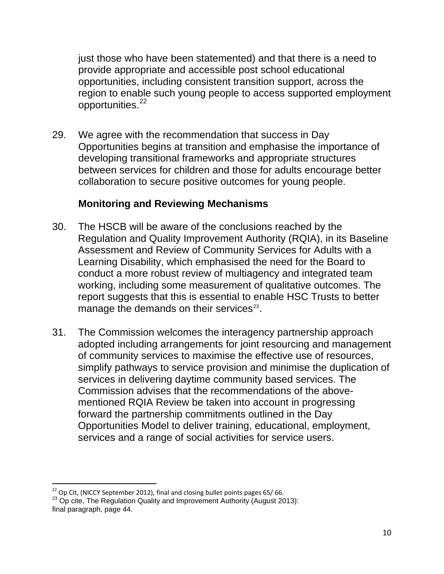just those who have been statemented) and that there is a need to provide appropriate and accessible post school educational opportunities, including consistent transition support, across the region to enable such young people to access supported employment opportunities.<sup>22</sup>

29. We agree with the recommendation that success in Day Opportunities begins at transition and emphasise the importance of developing transitional frameworks and appropriate structures between services for children and those for adults encourage better collaboration to secure positive outcomes for young people.

## **Monitoring and Reviewing Mechanisms**

- 30. The HSCB will be aware of the conclusions reached by the Regulation and Quality Improvement Authority (RQIA), in its Baseline Assessment and Review of Community Services for Adults with a Learning Disability, which emphasised the need for the Board to conduct a more robust review of multiagency and integrated team working, including some measurement of qualitative outcomes. The report suggests that this is essential to enable HSC Trusts to better manage the demands on their services $23$ .
- 31. The Commission welcomes the interagency partnership approach adopted including arrangements for joint resourcing and management of community services to maximise the effective use of resources, simplify pathways to service provision and minimise the duplication of services in delivering daytime community based services. The Commission advises that the recommendations of the abovementioned RQIA Review be taken into account in progressing forward the partnership commitments outlined in the Day Opportunities Model to deliver training, educational, employment, services and a range of social activities for service users.

<sup>&</sup>lt;sup>22</sup> Op Cit, (NICCY September 2012), final and closing bullet points pages 65/66.

<span id="page-9-0"></span> $^{23}$  Op cite, The Regulation Quality and Improvement Authority (August 2013): final paragraph, page 44.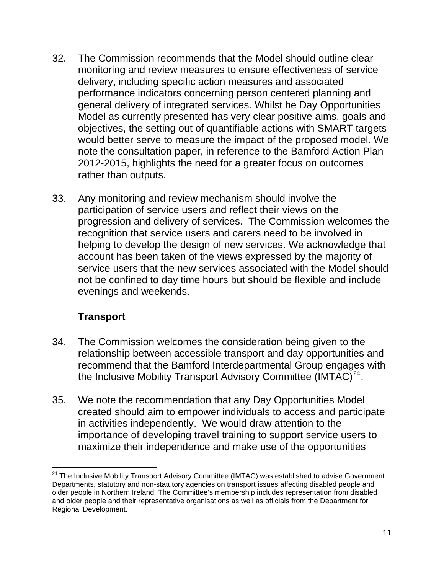- 32. The Commission recommends that the Model should outline clear monitoring and review measures to ensure effectiveness of service delivery, including specific action measures and associated performance indicators concerning person centered planning and general delivery of integrated services. Whilst he Day Opportunities Model as currently presented has very clear positive aims, goals and objectives, the setting out of quantifiable actions with SMART targets would better serve to measure the impact of the proposed model. We note the consultation paper, in reference to the Bamford Action Plan 2012-2015, highlights the need for a greater focus on outcomes rather than outputs.
- 33. Any monitoring and review mechanism should involve the participation of service users and reflect their views on the progression and delivery of services. The Commission welcomes the recognition that service users and carers need to be involved in helping to develop the design of new services. We acknowledge that account has been taken of the views expressed by the majority of service users that the new services associated with the Model should not be confined to day time hours but should be flexible and include evenings and weekends.

# **Transport**

- 34. The Commission welcomes the consideration being given to the relationship between accessible transport and day opportunities and recommend that the Bamford Interdepartmental Group engages with the Inclusive Mobility Transport Advisory Committee  $(IMTAC)^{24}$  $(IMTAC)^{24}$  $(IMTAC)^{24}$ .
- 35. We note the recommendation that any Day Opportunities Model created should aim to empower individuals to access and participate in activities independently. We would draw attention to the importance of developing travel training to support service users to maximize their independence and make use of the opportunities

<span id="page-10-0"></span><sup>&</sup>lt;u> 1980 - An Dùbhlachd ann an Dùbhlachd ann an Dùbhlachd ann an Dùbhlachd ann an Dùbhlachd ann an Dùbhlachd ann a</u> <sup>24</sup> The Inclusive Mobility Transport Advisory Committee (IMTAC) was established to advise Government Departments, statutory and non-statutory agencies on transport issues affecting disabled people and older people in Northern Ireland. The Committee's membership includes representation from disabled and older people and their representative organisations as well as officials from the Department for Regional Development.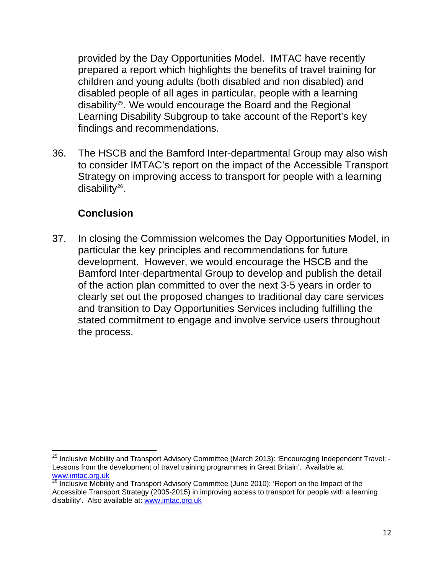provided by the Day Opportunities Model. IMTAC have recently prepared a report which highlights the benefits of travel training for children and young adults (both disabled and non disabled) and disabled people of all ages in particular, people with a learning disability<sup>25</sup>. We would encourage the Board and the Regional Learning Disability Subgroup to take account of the Report's key findings and recommendations.

36. The HSCB and the Bamford Inter-departmental Group may also wish to consider IMTAC's report on the impact of the Accessible Transport Strategy on improving access to transport for people with a learning disability $26$ .

## **Conclusion**

<u> 1980 - An Dùbhlachd ann an Dùbhlachd ann an Dùbhlachd ann an Dùbhlachd ann an Dùbhlachd ann an Dùbhlachd ann a</u>

37. In closing the Commission welcomes the Day Opportunities Model, in particular the key principles and recommendations for future development. However, we would encourage the HSCB and the Bamford Inter-departmental Group to develop and publish the detail of the action plan committed to over the next 3-5 years in order to clearly set out the proposed changes to traditional day care services and transition to Day Opportunities Services including fulfilling the stated commitment to engage and involve service users throughout the process.

<sup>&</sup>lt;sup>25</sup> Inclusive Mobility and Transport Advisory Committee (March 2013): 'Encouraging Independent Travel: -Lessons from the development of travel training programmes in Great Britain'. Available at: [www.imtac.org.uk](http://www.imtac.org.uk/)

<span id="page-11-0"></span> $26$  Inclusive Mobility and Transport Advisory Committee (June 2010): 'Report on the Impact of the Accessible Transport Strategy (2005-2015) in improving access to transport for people with a learning disability'. Also available at: [www.imtac.org.uk](http://www.imtac.org.uk/)